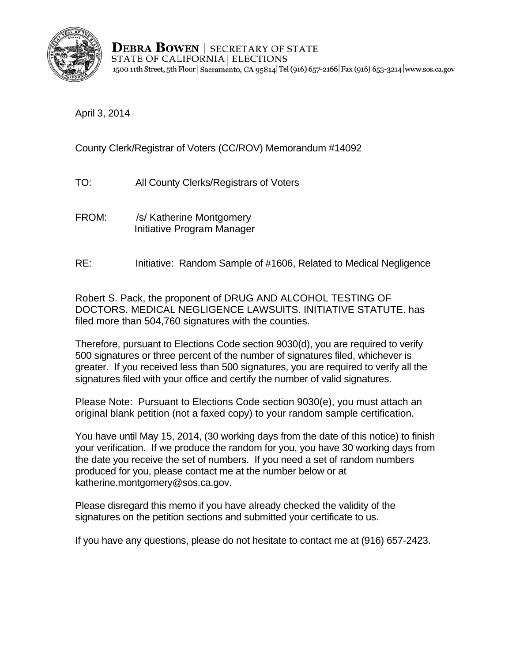

**DEBRA BOWEN** SECRETARY OF STATE STATE OF CALIFORNIA | ELECTIONS 1500 11th Street, 5th Floor | Sacramento, CA 95814 Tel (916) 657-2166 Fax (916) 653-3214 www.sos.ca.gov

April 3, 2014

County Clerk/Registrar of Voters (CC/ROV) Memorandum #14092

- TO: All County Clerks/Registrars of Voters<br>FROM: /s/ Katherine Montgomery
- Initiative Program Manager
- **RE:** Initiative: Random Sample of #1606, Related to Medical Negligence

Robert S. Pack, the proponent of DRUG AND ALCOHOL TESTING OF DOCTORS. MEDICAL NEGLIGENCE LAWSUITS. INITIATIVE STATUTE. has filed more than 504,760 signatures with the counties.

Therefore, pursuant to Elections Code section 9030(d), you are required to verify 500 signatures or three percent of the number of signatures filed, whichever is greater. If you received less than 500 signatures, you are required to verify all the signatures filed with your office and certify the number of valid signatures.

Please Note: Pursuant to Elections Code section 9030(e), you must attach an original blank petition (not a faxed copy) to your random sample certification.

You have until May 15, 2014, (30 working days from the date of this notice) to finish your verification. If we produce the random for you, you have 30 working days from the date you receive the set of numbers. If you need a set of random numbers produced for you, please contact me at the number below or at katherine.montgomery@sos.ca.gov.

Please disregard this memo if you have already checked the validity of the signatures on the petition sections and submitted your certificate to us.

If you have any questions, please do not hesitate to contact me at (916) 657-2423.